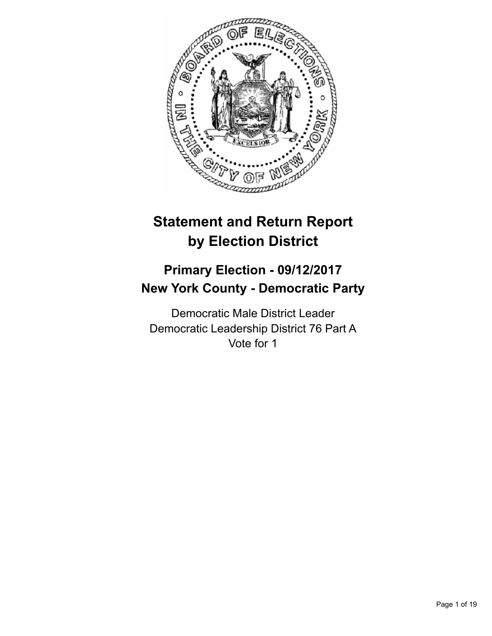

# **Statement and Return Report by Election District**

## **Primary Election - 09/12/2017 New York County - Democratic Party**

Democratic Male District Leader Democratic Leadership District 76 Part A Vote for 1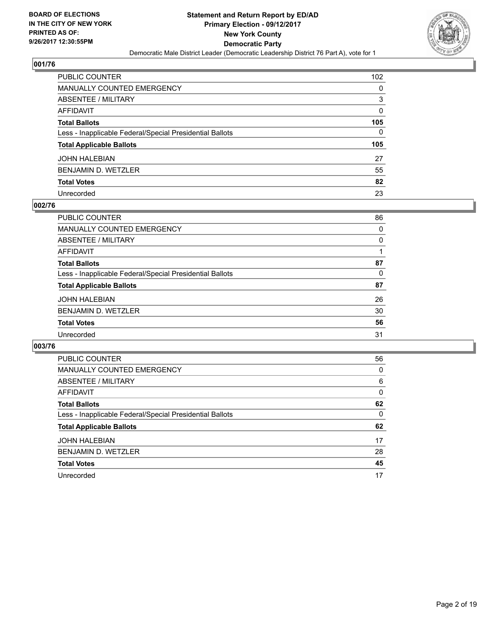

| PUBLIC COUNTER                                           | 102          |
|----------------------------------------------------------|--------------|
| <b>MANUALLY COUNTED EMERGENCY</b>                        | 0            |
| <b>ABSENTEE / MILITARY</b>                               | 3            |
| <b>AFFIDAVIT</b>                                         | 0            |
| <b>Total Ballots</b>                                     | 105          |
| Less - Inapplicable Federal/Special Presidential Ballots | $\mathbf{0}$ |
| <b>Total Applicable Ballots</b>                          | 105          |
| <b>JOHN HALEBIAN</b>                                     | 27           |
| <b>BENJAMIN D. WETZLER</b>                               | 55           |
| <b>Total Votes</b>                                       | 82           |
| Unrecorded                                               | 23           |

#### **002/76**

| PUBLIC COUNTER                                           | 86 |
|----------------------------------------------------------|----|
| MANUALLY COUNTED EMERGENCY                               | 0  |
| ABSENTEE / MILITARY                                      | 0  |
| AFFIDAVIT                                                |    |
| <b>Total Ballots</b>                                     | 87 |
| Less - Inapplicable Federal/Special Presidential Ballots | 0  |
| <b>Total Applicable Ballots</b>                          | 87 |
| <b>JOHN HALEBIAN</b>                                     | 26 |
| <b>BENJAMIN D. WETZLER</b>                               | 30 |
| <b>Total Votes</b>                                       | 56 |
| Unrecorded                                               | 31 |
|                                                          |    |

| <b>PUBLIC COUNTER</b>                                    | 56 |
|----------------------------------------------------------|----|
| <b>MANUALLY COUNTED EMERGENCY</b>                        | 0  |
| ABSENTEE / MILITARY                                      | 6  |
| <b>AFFIDAVIT</b>                                         | 0  |
| <b>Total Ballots</b>                                     | 62 |
| Less - Inapplicable Federal/Special Presidential Ballots | 0  |
| <b>Total Applicable Ballots</b>                          | 62 |
| <b>JOHN HALEBIAN</b>                                     | 17 |
| BENJAMIN D. WETZLER                                      | 28 |
| <b>Total Votes</b>                                       | 45 |
| Unrecorded                                               | 17 |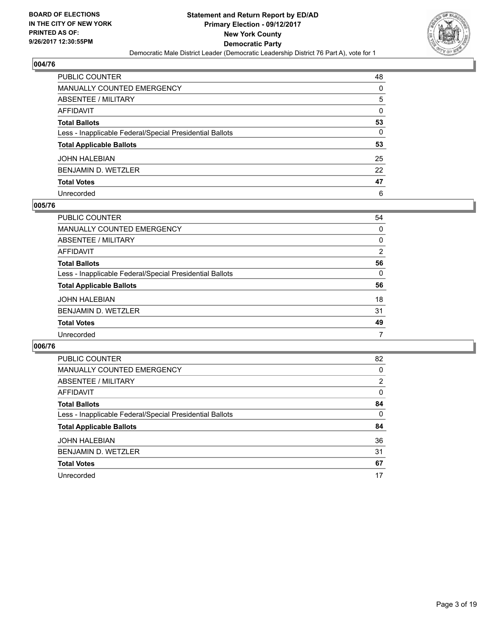

| <b>PUBLIC COUNTER</b>                                    | 48 |
|----------------------------------------------------------|----|
| <b>MANUALLY COUNTED EMERGENCY</b>                        | 0  |
| ABSENTEE / MILITARY                                      | 5  |
| <b>AFFIDAVIT</b>                                         | 0  |
| <b>Total Ballots</b>                                     | 53 |
| Less - Inapplicable Federal/Special Presidential Ballots | 0  |
| <b>Total Applicable Ballots</b>                          | 53 |
| <b>JOHN HALEBIAN</b>                                     | 25 |
| <b>BENJAMIN D. WETZLER</b>                               | 22 |
| <b>Total Votes</b>                                       | 47 |
| Unrecorded                                               | 6  |

#### **005/76**

| <b>PUBLIC COUNTER</b>                                    | 54 |
|----------------------------------------------------------|----|
| <b>MANUALLY COUNTED EMERGENCY</b>                        | 0  |
| ABSENTEE / MILITARY                                      | 0  |
| AFFIDAVIT                                                | 2  |
| <b>Total Ballots</b>                                     | 56 |
| Less - Inapplicable Federal/Special Presidential Ballots | 0  |
| <b>Total Applicable Ballots</b>                          | 56 |
| <b>JOHN HALEBIAN</b>                                     | 18 |
| <b>BENJAMIN D. WETZLER</b>                               | 31 |
| <b>Total Votes</b>                                       | 49 |
| Unrecorded                                               | 7  |

| <b>PUBLIC COUNTER</b>                                    | 82 |
|----------------------------------------------------------|----|
| <b>MANUALLY COUNTED EMERGENCY</b>                        | 0  |
| ABSENTEE / MILITARY                                      | 2  |
| <b>AFFIDAVIT</b>                                         | 0  |
| <b>Total Ballots</b>                                     | 84 |
| Less - Inapplicable Federal/Special Presidential Ballots | 0  |
| <b>Total Applicable Ballots</b>                          | 84 |
| <b>JOHN HALEBIAN</b>                                     | 36 |
| BENJAMIN D. WETZLER                                      | 31 |
| <b>Total Votes</b>                                       | 67 |
| Unrecorded                                               | 17 |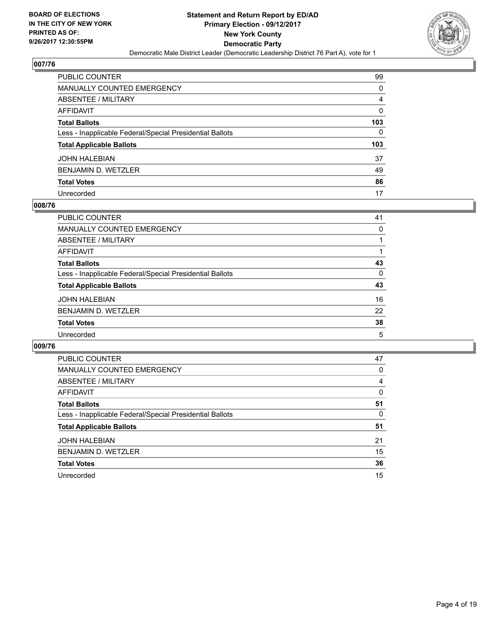

| PUBLIC COUNTER                                           | 99           |
|----------------------------------------------------------|--------------|
| <b>MANUALLY COUNTED EMERGENCY</b>                        | 0            |
| <b>ABSENTEE / MILITARY</b>                               | 4            |
| AFFIDAVIT                                                | 0            |
| <b>Total Ballots</b>                                     | 103          |
| Less - Inapplicable Federal/Special Presidential Ballots | $\mathbf{0}$ |
| <b>Total Applicable Ballots</b>                          | 103          |
| <b>JOHN HALEBIAN</b>                                     | 37           |
| <b>BENJAMIN D. WETZLER</b>                               | 49           |
| <b>Total Votes</b>                                       | 86           |
| Unrecorded                                               | 17           |

#### **008/76**

| PUBLIC COUNTER                                           | 41 |
|----------------------------------------------------------|----|
| <b>MANUALLY COUNTED EMERGENCY</b>                        | 0  |
| ABSENTEE / MILITARY                                      |    |
| AFFIDAVIT                                                |    |
| <b>Total Ballots</b>                                     | 43 |
| Less - Inapplicable Federal/Special Presidential Ballots | 0  |
| <b>Total Applicable Ballots</b>                          | 43 |
| <b>JOHN HALEBIAN</b>                                     | 16 |
| <b>BENJAMIN D. WETZLER</b>                               | 22 |
| <b>Total Votes</b>                                       | 38 |
| Unrecorded                                               | 5  |

| <b>PUBLIC COUNTER</b>                                    | 47 |
|----------------------------------------------------------|----|
| <b>MANUALLY COUNTED EMERGENCY</b>                        | 0  |
| ABSENTEE / MILITARY                                      | 4  |
| <b>AFFIDAVIT</b>                                         | 0  |
| <b>Total Ballots</b>                                     | 51 |
| Less - Inapplicable Federal/Special Presidential Ballots | 0  |
| <b>Total Applicable Ballots</b>                          | 51 |
| <b>JOHN HALEBIAN</b>                                     | 21 |
| BENJAMIN D. WETZLER                                      | 15 |
| <b>Total Votes</b>                                       | 36 |
| Unrecorded                                               | 15 |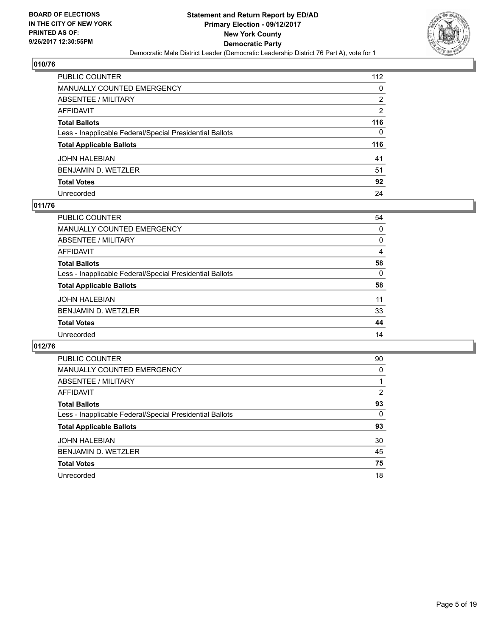

| <b>PUBLIC COUNTER</b>                                    | 112 |
|----------------------------------------------------------|-----|
| <b>MANUALLY COUNTED EMERGENCY</b>                        | 0   |
| ABSENTEE / MILITARY                                      | 2   |
| <b>AFFIDAVIT</b>                                         | 2   |
| <b>Total Ballots</b>                                     | 116 |
| Less - Inapplicable Federal/Special Presidential Ballots | 0   |
| <b>Total Applicable Ballots</b>                          | 116 |
| JOHN HALEBIAN                                            | 41  |
| BENJAMIN D. WETZLER                                      | 51  |
| <b>Total Votes</b>                                       | 92  |
| Unrecorded                                               | 24  |

#### **011/76**

| <b>PUBLIC COUNTER</b>                                    | 54 |
|----------------------------------------------------------|----|
| MANUALLY COUNTED EMERGENCY                               | 0  |
| ABSENTEE / MILITARY                                      | 0  |
| AFFIDAVIT                                                | 4  |
| <b>Total Ballots</b>                                     | 58 |
| Less - Inapplicable Federal/Special Presidential Ballots | 0  |
| <b>Total Applicable Ballots</b>                          | 58 |
| <b>JOHN HALEBIAN</b>                                     | 11 |
| <b>BENJAMIN D. WETZLER</b>                               | 33 |
| <b>Total Votes</b>                                       | 44 |
| Unrecorded                                               | 14 |

| <b>PUBLIC COUNTER</b>                                    | 90 |
|----------------------------------------------------------|----|
| <b>MANUALLY COUNTED EMERGENCY</b>                        | 0  |
| <b>ABSENTEE / MILITARY</b>                               |    |
| <b>AFFIDAVIT</b>                                         | 2  |
| <b>Total Ballots</b>                                     | 93 |
| Less - Inapplicable Federal/Special Presidential Ballots | 0  |
| <b>Total Applicable Ballots</b>                          | 93 |
| <b>JOHN HALEBIAN</b>                                     | 30 |
| <b>BENJAMIN D. WETZLER</b>                               | 45 |
| <b>Total Votes</b>                                       | 75 |
| Unrecorded                                               | 18 |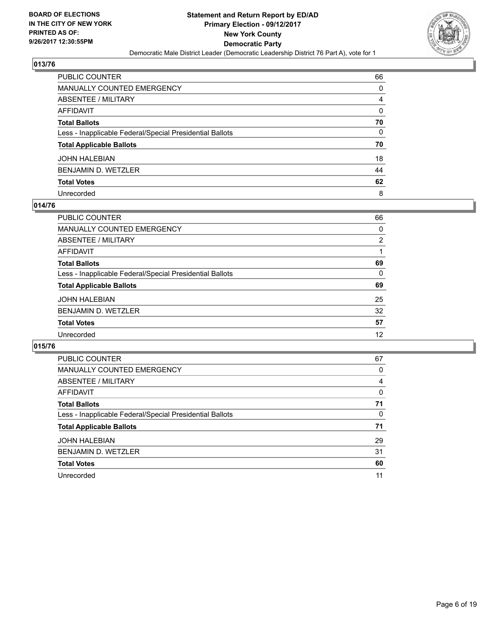

| <b>PUBLIC COUNTER</b>                                    | 66 |
|----------------------------------------------------------|----|
| MANUALLY COUNTED EMERGENCY                               | 0  |
| <b>ABSENTEE / MILITARY</b>                               | 4  |
| AFFIDAVIT                                                | 0  |
| <b>Total Ballots</b>                                     | 70 |
| Less - Inapplicable Federal/Special Presidential Ballots | 0  |
| <b>Total Applicable Ballots</b>                          | 70 |
| <b>JOHN HALEBIAN</b>                                     | 18 |
| <b>BENJAMIN D. WETZLER</b>                               | 44 |
| <b>Total Votes</b>                                       | 62 |
| Unrecorded                                               | 8  |

#### **014/76**

| PUBLIC COUNTER                                           | 66 |
|----------------------------------------------------------|----|
| MANUALLY COUNTED EMERGENCY                               | 0  |
| ABSENTEE / MILITARY                                      | 2  |
| AFFIDAVIT                                                |    |
| <b>Total Ballots</b>                                     | 69 |
| Less - Inapplicable Federal/Special Presidential Ballots | 0  |
| <b>Total Applicable Ballots</b>                          | 69 |
| <b>JOHN HALEBIAN</b>                                     | 25 |
| <b>BENJAMIN D. WETZLER</b>                               | 32 |
| <b>Total Votes</b>                                       | 57 |
| Unrecorded                                               | 12 |
|                                                          |    |

| <b>PUBLIC COUNTER</b>                                    | 67 |
|----------------------------------------------------------|----|
| <b>MANUALLY COUNTED EMERGENCY</b>                        | 0  |
| <b>ABSENTEE / MILITARY</b>                               | 4  |
| <b>AFFIDAVIT</b>                                         | 0  |
| <b>Total Ballots</b>                                     | 71 |
| Less - Inapplicable Federal/Special Presidential Ballots | 0  |
| <b>Total Applicable Ballots</b>                          | 71 |
| <b>JOHN HALEBIAN</b>                                     | 29 |
| <b>BENJAMIN D. WETZLER</b>                               | 31 |
| <b>Total Votes</b>                                       | 60 |
| Unrecorded                                               | 11 |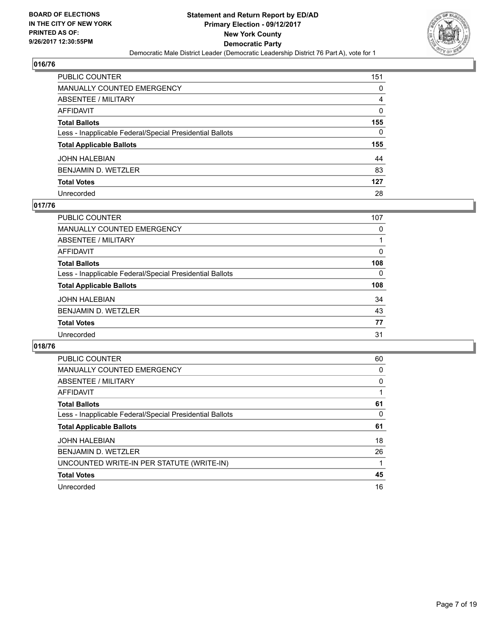

| <b>PUBLIC COUNTER</b>                                    | 151 |
|----------------------------------------------------------|-----|
| <b>MANUALLY COUNTED EMERGENCY</b>                        | 0   |
| <b>ABSENTEE / MILITARY</b>                               | 4   |
| <b>AFFIDAVIT</b>                                         | 0   |
| <b>Total Ballots</b>                                     | 155 |
| Less - Inapplicable Federal/Special Presidential Ballots | 0   |
| <b>Total Applicable Ballots</b>                          | 155 |
| JOHN HALEBIAN                                            | 44  |
| <b>BENJAMIN D. WETZLER</b>                               | 83  |
| <b>Total Votes</b>                                       | 127 |
| Unrecorded                                               | 28  |

#### **017/76**

| <b>PUBLIC COUNTER</b>                                    | 107 |
|----------------------------------------------------------|-----|
| <b>MANUALLY COUNTED EMERGENCY</b>                        | 0   |
| ABSENTEE / MILITARY                                      |     |
| AFFIDAVIT                                                | 0   |
| <b>Total Ballots</b>                                     | 108 |
| Less - Inapplicable Federal/Special Presidential Ballots | 0   |
| <b>Total Applicable Ballots</b>                          | 108 |
| <b>JOHN HALEBIAN</b>                                     | 34  |
| <b>BENJAMIN D. WETZLER</b>                               | 43  |
| <b>Total Votes</b>                                       | 77  |
| Unrecorded                                               | 31  |

| <b>PUBLIC COUNTER</b>                                    | 60 |
|----------------------------------------------------------|----|
| <b>MANUALLY COUNTED EMERGENCY</b>                        | 0  |
| ABSENTEE / MILITARY                                      | 0  |
| AFFIDAVIT                                                |    |
| <b>Total Ballots</b>                                     | 61 |
| Less - Inapplicable Federal/Special Presidential Ballots | 0  |
| <b>Total Applicable Ballots</b>                          | 61 |
| <b>JOHN HALEBIAN</b>                                     | 18 |
|                                                          |    |
| <b>BENJAMIN D. WETZLER</b>                               | 26 |
| UNCOUNTED WRITE-IN PER STATUTE (WRITE-IN)                |    |
| <b>Total Votes</b>                                       | 45 |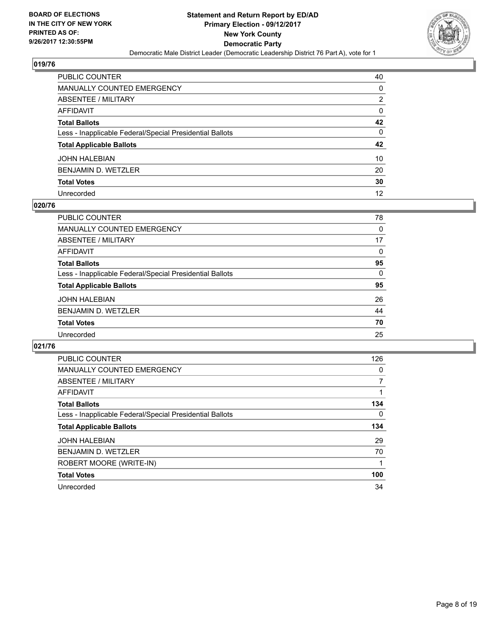

| <b>PUBLIC COUNTER</b>                                    | 40 |
|----------------------------------------------------------|----|
| <b>MANUALLY COUNTED EMERGENCY</b>                        | 0  |
| ABSENTEE / MILITARY                                      | 2  |
| <b>AFFIDAVIT</b>                                         | 0  |
| <b>Total Ballots</b>                                     | 42 |
| Less - Inapplicable Federal/Special Presidential Ballots | 0  |
| <b>Total Applicable Ballots</b>                          | 42 |
| <b>JOHN HALEBIAN</b>                                     | 10 |
| <b>BENJAMIN D. WETZLER</b>                               | 20 |
| <b>Total Votes</b>                                       | 30 |
| Unrecorded                                               | 12 |

#### **020/76**

| PUBLIC COUNTER                                           | 78 |
|----------------------------------------------------------|----|
| MANUALLY COUNTED EMERGENCY                               | 0  |
| ABSENTEE / MILITARY                                      | 17 |
| AFFIDAVIT                                                | 0  |
| <b>Total Ballots</b>                                     | 95 |
| Less - Inapplicable Federal/Special Presidential Ballots | 0  |
| <b>Total Applicable Ballots</b>                          | 95 |
| <b>JOHN HALEBIAN</b>                                     | 26 |
| <b>BENJAMIN D. WETZLER</b>                               | 44 |
| <b>Total Votes</b>                                       | 70 |
| Unrecorded                                               | 25 |
|                                                          |    |

| <b>PUBLIC COUNTER</b>                                    | 126 |
|----------------------------------------------------------|-----|
| <b>MANUALLY COUNTED EMERGENCY</b>                        | 0   |
| ABSENTEE / MILITARY                                      | 7   |
| AFFIDAVIT                                                |     |
| <b>Total Ballots</b>                                     | 134 |
| Less - Inapplicable Federal/Special Presidential Ballots | 0   |
| <b>Total Applicable Ballots</b>                          | 134 |
| <b>JOHN HALEBIAN</b>                                     | 29  |
| <b>BENJAMIN D. WETZLER</b>                               | 70  |
| ROBERT MOORE (WRITE-IN)                                  |     |
| <b>Total Votes</b>                                       | 100 |
| Unrecorded                                               | 34  |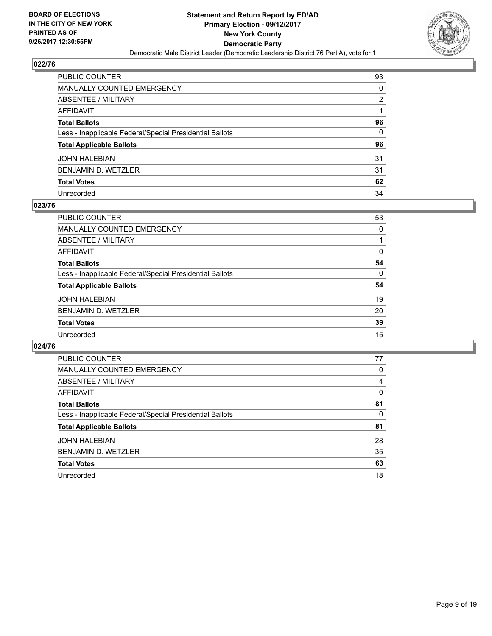

| PUBLIC COUNTER                                           | 93 |
|----------------------------------------------------------|----|
| <b>MANUALLY COUNTED EMERGENCY</b>                        | 0  |
| <b>ABSENTEE / MILITARY</b>                               | 2  |
| AFFIDAVIT                                                |    |
| <b>Total Ballots</b>                                     | 96 |
| Less - Inapplicable Federal/Special Presidential Ballots | 0  |
| <b>Total Applicable Ballots</b>                          | 96 |
| <b>JOHN HALEBIAN</b>                                     | 31 |
| <b>BENJAMIN D. WETZLER</b>                               | 31 |
| <b>Total Votes</b>                                       | 62 |
| Unrecorded                                               | 34 |

#### **023/76**

| <b>PUBLIC COUNTER</b>                                    | 53 |
|----------------------------------------------------------|----|
| <b>MANUALLY COUNTED EMERGENCY</b>                        | 0  |
| ABSENTEE / MILITARY                                      |    |
| AFFIDAVIT                                                | 0  |
| <b>Total Ballots</b>                                     | 54 |
| Less - Inapplicable Federal/Special Presidential Ballots | 0  |
| <b>Total Applicable Ballots</b>                          | 54 |
| <b>JOHN HALEBIAN</b>                                     | 19 |
| <b>BENJAMIN D. WETZLER</b>                               | 20 |
| <b>Total Votes</b>                                       | 39 |
| Unrecorded                                               | 15 |

| <b>PUBLIC COUNTER</b>                                    | 77 |
|----------------------------------------------------------|----|
| <b>MANUALLY COUNTED EMERGENCY</b>                        | 0  |
| ABSENTEE / MILITARY                                      | 4  |
| AFFIDAVIT                                                | 0  |
| <b>Total Ballots</b>                                     | 81 |
| Less - Inapplicable Federal/Special Presidential Ballots | 0  |
| <b>Total Applicable Ballots</b>                          | 81 |
| <b>JOHN HALEBIAN</b>                                     | 28 |
| BENJAMIN D. WETZLER                                      | 35 |
| <b>Total Votes</b>                                       | 63 |
| Unrecorded                                               | 18 |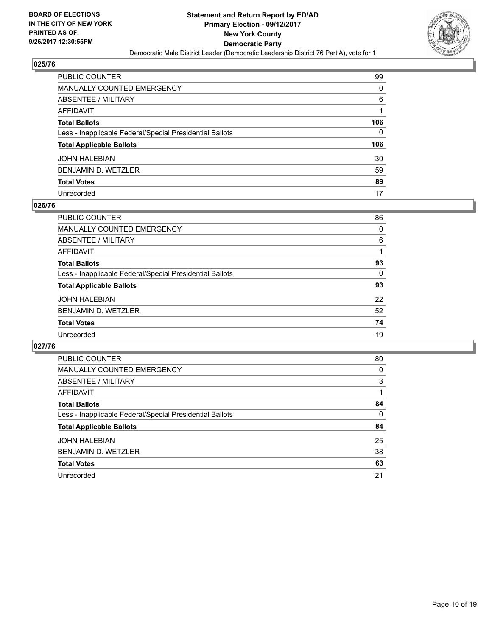

| PUBLIC COUNTER                                           | 99  |
|----------------------------------------------------------|-----|
| <b>MANUALLY COUNTED EMERGENCY</b>                        | 0   |
| <b>ABSENTEE / MILITARY</b>                               | 6   |
| <b>AFFIDAVIT</b>                                         |     |
| <b>Total Ballots</b>                                     | 106 |
| Less - Inapplicable Federal/Special Presidential Ballots | 0   |
| <b>Total Applicable Ballots</b>                          | 106 |
| <b>JOHN HALEBIAN</b>                                     | 30  |
| <b>BENJAMIN D. WETZLER</b>                               | 59  |
| <b>Total Votes</b>                                       | 89  |
| Unrecorded                                               | 17  |

#### **026/76**

| <b>PUBLIC COUNTER</b>                                    | 86 |
|----------------------------------------------------------|----|
| MANUALLY COUNTED EMERGENCY                               | 0  |
| ABSENTEE / MILITARY                                      | 6  |
| AFFIDAVIT                                                |    |
| <b>Total Ballots</b>                                     | 93 |
| Less - Inapplicable Federal/Special Presidential Ballots | 0  |
| <b>Total Applicable Ballots</b>                          | 93 |
| <b>JOHN HALEBIAN</b>                                     | 22 |
| <b>BENJAMIN D. WETZLER</b>                               | 52 |
| <b>Total Votes</b>                                       | 74 |
| Unrecorded                                               | 19 |

| <b>PUBLIC COUNTER</b>                                    | 80 |
|----------------------------------------------------------|----|
| MANUALLY COUNTED EMERGENCY                               | 0  |
| ABSENTEE / MILITARY                                      | 3  |
| AFFIDAVIT                                                |    |
| <b>Total Ballots</b>                                     | 84 |
| Less - Inapplicable Federal/Special Presidential Ballots | 0  |
| <b>Total Applicable Ballots</b>                          | 84 |
| <b>JOHN HALEBIAN</b>                                     | 25 |
| BENJAMIN D. WETZLER                                      | 38 |
| <b>Total Votes</b>                                       | 63 |
| Unrecorded                                               | 21 |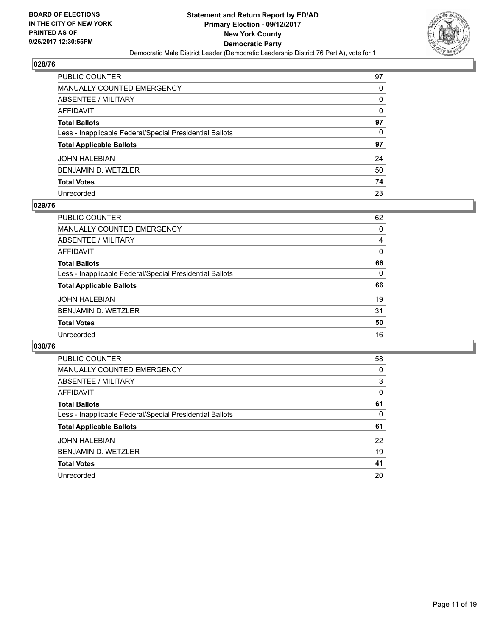

| PUBLIC COUNTER                                           | 97 |
|----------------------------------------------------------|----|
| MANUALLY COUNTED EMERGENCY                               | 0  |
| ABSENTEE / MILITARY                                      | 0  |
| AFFIDAVIT                                                | 0  |
| Total Ballots                                            | 97 |
| Less - Inapplicable Federal/Special Presidential Ballots | 0  |
| <b>Total Applicable Ballots</b>                          | 97 |
| JOHN HALEBIAN                                            | 24 |
| BENJAMIN D. WETZLER                                      | 50 |
| <b>Total Votes</b>                                       | 74 |
| Unrecorded                                               | 23 |

#### **029/76**

| PUBLIC COUNTER                                           | 62 |
|----------------------------------------------------------|----|
| <b>MANUALLY COUNTED EMERGENCY</b>                        | 0  |
| ABSENTEE / MILITARY                                      | 4  |
| AFFIDAVIT                                                | 0  |
| <b>Total Ballots</b>                                     | 66 |
| Less - Inapplicable Federal/Special Presidential Ballots | 0  |
| <b>Total Applicable Ballots</b>                          | 66 |
| <b>JOHN HALEBIAN</b>                                     | 19 |
| <b>BENJAMIN D. WETZLER</b>                               | 31 |
| <b>Total Votes</b>                                       | 50 |
| Unrecorded                                               | 16 |
|                                                          |    |

| <b>PUBLIC COUNTER</b>                                    | 58 |
|----------------------------------------------------------|----|
| MANUALLY COUNTED EMERGENCY                               | 0  |
| ABSENTEE / MILITARY                                      | 3  |
| AFFIDAVIT                                                | 0  |
| <b>Total Ballots</b>                                     | 61 |
| Less - Inapplicable Federal/Special Presidential Ballots | 0  |
| <b>Total Applicable Ballots</b>                          | 61 |
| <b>JOHN HALEBIAN</b>                                     | 22 |
| BENJAMIN D. WETZLER                                      | 19 |
| <b>Total Votes</b>                                       | 41 |
| Unrecorded                                               | 20 |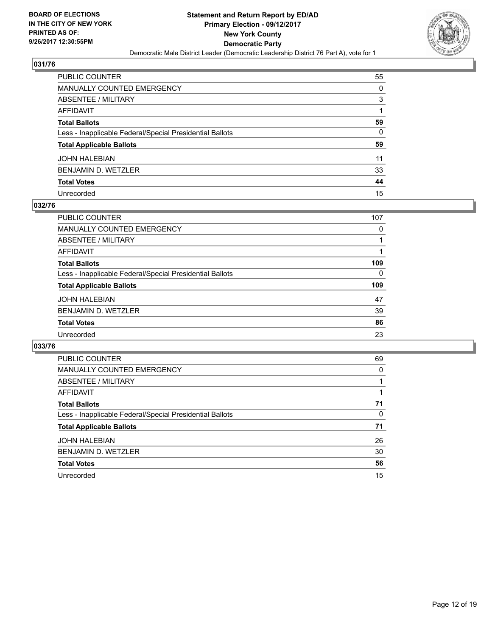

| PUBLIC COUNTER                                           | 55           |
|----------------------------------------------------------|--------------|
| MANUALLY COUNTED EMERGENCY                               | 0            |
| ABSENTEE / MILITARY                                      | 3            |
| AFFIDAVIT                                                |              |
| Total Ballots                                            | 59           |
| Less - Inapplicable Federal/Special Presidential Ballots | $\mathbf{0}$ |
| <b>Total Applicable Ballots</b>                          | 59           |
| JOHN HALEBIAN                                            | 11           |
| BENJAMIN D. WETZLER                                      | 33           |
| <b>Total Votes</b>                                       | 44           |
| Unrecorded                                               | 15           |

#### **032/76**

| <b>PUBLIC COUNTER</b>                                    | 107 |
|----------------------------------------------------------|-----|
| <b>MANUALLY COUNTED EMERGENCY</b>                        | 0   |
| ABSENTEE / MILITARY                                      |     |
| AFFIDAVIT                                                |     |
| <b>Total Ballots</b>                                     | 109 |
| Less - Inapplicable Federal/Special Presidential Ballots | 0   |
| <b>Total Applicable Ballots</b>                          | 109 |
| <b>JOHN HALEBIAN</b>                                     | 47  |
| <b>BENJAMIN D. WETZLER</b>                               | 39  |
| <b>Total Votes</b>                                       | 86  |
| Unrecorded                                               | 23  |

| <b>PUBLIC COUNTER</b>                                    | 69 |
|----------------------------------------------------------|----|
| <b>MANUALLY COUNTED EMERGENCY</b>                        | 0  |
| <b>ABSENTEE / MILITARY</b>                               |    |
| <b>AFFIDAVIT</b>                                         |    |
| <b>Total Ballots</b>                                     | 71 |
| Less - Inapplicable Federal/Special Presidential Ballots | 0  |
| <b>Total Applicable Ballots</b>                          | 71 |
| <b>JOHN HALEBIAN</b>                                     | 26 |
| <b>BENJAMIN D. WETZLER</b>                               | 30 |
| <b>Total Votes</b>                                       | 56 |
| Unrecorded                                               | 15 |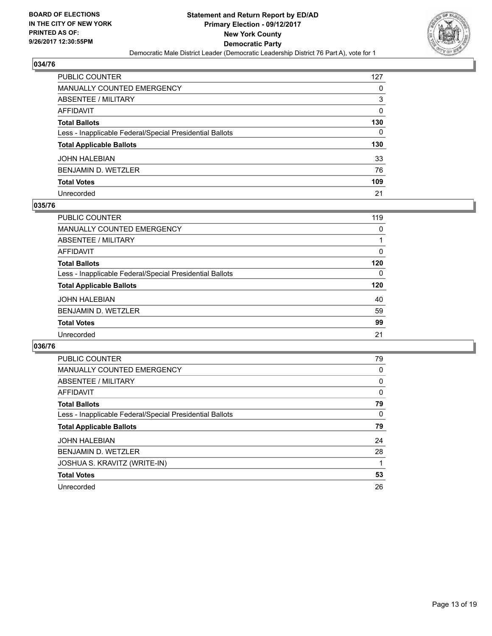

| PUBLIC COUNTER                                           | 127 |
|----------------------------------------------------------|-----|
| MANUALLY COUNTED EMERGENCY                               | 0   |
| <b>ABSENTEE / MILITARY</b>                               | 3   |
| <b>AFFIDAVIT</b>                                         | 0   |
| <b>Total Ballots</b>                                     | 130 |
| Less - Inapplicable Federal/Special Presidential Ballots | 0   |
| <b>Total Applicable Ballots</b>                          | 130 |
| <b>JOHN HALEBIAN</b>                                     | 33  |
| BENJAMIN D. WETZLER                                      | 76  |
| <b>Total Votes</b>                                       | 109 |
| Unrecorded                                               | 21  |

#### **035/76**

| <b>PUBLIC COUNTER</b>                                    | 119 |
|----------------------------------------------------------|-----|
| <b>MANUALLY COUNTED EMERGENCY</b>                        | 0   |
| ABSENTEE / MILITARY                                      |     |
| AFFIDAVIT                                                | 0   |
| <b>Total Ballots</b>                                     | 120 |
| Less - Inapplicable Federal/Special Presidential Ballots | 0   |
| <b>Total Applicable Ballots</b>                          | 120 |
| <b>JOHN HALEBIAN</b>                                     | 40  |
| <b>BENJAMIN D. WETZLER</b>                               | 59  |
| <b>Total Votes</b>                                       | 99  |
| Unrecorded                                               | 21  |

| <b>PUBLIC COUNTER</b>                                    | 79 |
|----------------------------------------------------------|----|
| <b>MANUALLY COUNTED EMERGENCY</b>                        | 0  |
| ABSENTEE / MILITARY                                      | 0  |
| AFFIDAVIT                                                | 0  |
| <b>Total Ballots</b>                                     | 79 |
| Less - Inapplicable Federal/Special Presidential Ballots | 0  |
| <b>Total Applicable Ballots</b>                          | 79 |
| <b>JOHN HALEBIAN</b>                                     | 24 |
| <b>BENJAMIN D. WETZLER</b>                               | 28 |
| JOSHUA S. KRAVITZ (WRITE-IN)                             |    |
| <b>Total Votes</b>                                       | 53 |
| Unrecorded                                               | 26 |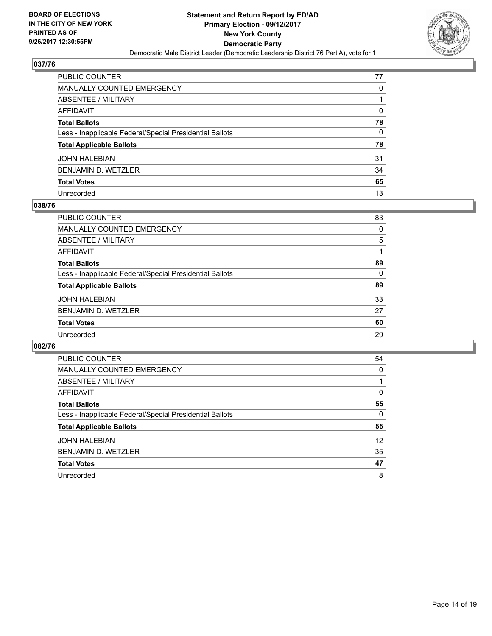

| PUBLIC COUNTER                                           | 77 |
|----------------------------------------------------------|----|
| <b>MANUALLY COUNTED EMERGENCY</b>                        | 0  |
| <b>ABSENTEE / MILITARY</b>                               |    |
| AFFIDAVIT                                                | 0  |
| <b>Total Ballots</b>                                     | 78 |
| Less - Inapplicable Federal/Special Presidential Ballots | 0  |
| <b>Total Applicable Ballots</b>                          | 78 |
| <b>JOHN HALEBIAN</b>                                     | 31 |
| <b>BENJAMIN D. WETZLER</b>                               | 34 |
| <b>Total Votes</b>                                       | 65 |
| Unrecorded                                               | 13 |

#### **038/76**

| PUBLIC COUNTER                                           | 83 |
|----------------------------------------------------------|----|
| MANUALLY COUNTED EMERGENCY                               | 0  |
| ABSENTEE / MILITARY                                      | 5  |
| AFFIDAVIT                                                |    |
| <b>Total Ballots</b>                                     | 89 |
| Less - Inapplicable Federal/Special Presidential Ballots | 0  |
| <b>Total Applicable Ballots</b>                          | 89 |
| <b>JOHN HALEBIAN</b>                                     | 33 |
| <b>BENJAMIN D. WETZLER</b>                               | 27 |
| <b>Total Votes</b>                                       | 60 |
| Unrecorded                                               | 29 |
|                                                          |    |

| <b>PUBLIC COUNTER</b>                                    | 54 |
|----------------------------------------------------------|----|
| <b>MANUALLY COUNTED EMERGENCY</b>                        | 0  |
| ABSENTEE / MILITARY                                      |    |
| AFFIDAVIT                                                | 0  |
| <b>Total Ballots</b>                                     | 55 |
| Less - Inapplicable Federal/Special Presidential Ballots | 0  |
| <b>Total Applicable Ballots</b>                          | 55 |
| <b>JOHN HALEBIAN</b>                                     | 12 |
| BENJAMIN D. WETZLER                                      | 35 |
| <b>Total Votes</b>                                       | 47 |
| Unrecorded                                               | 8  |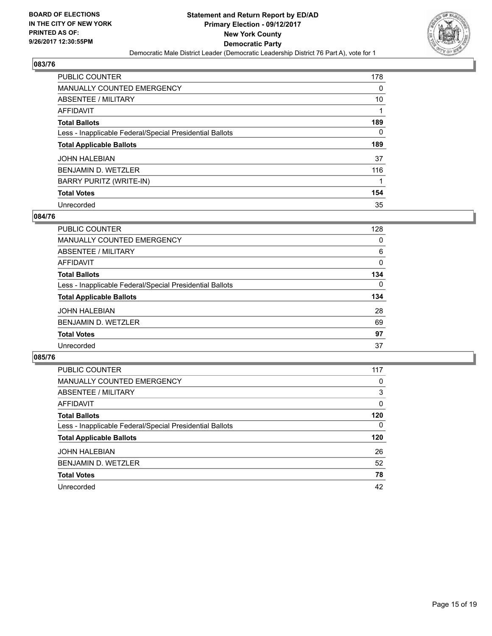

| <b>PUBLIC COUNTER</b>                                    | 178 |
|----------------------------------------------------------|-----|
| <b>MANUALLY COUNTED EMERGENCY</b>                        | 0   |
| ABSENTEE / MILITARY                                      | 10  |
| AFFIDAVIT                                                |     |
| <b>Total Ballots</b>                                     | 189 |
| Less - Inapplicable Federal/Special Presidential Ballots | 0   |
| <b>Total Applicable Ballots</b>                          | 189 |
| <b>JOHN HALEBIAN</b>                                     | 37  |
| <b>BENJAMIN D. WETZLER</b>                               | 116 |
| <b>BARRY PURITZ (WRITE-IN)</b>                           | 1   |
| <b>Total Votes</b>                                       | 154 |
| Unrecorded                                               | 35  |

#### **084/76**

| <b>PUBLIC COUNTER</b>                                    | 128 |
|----------------------------------------------------------|-----|
| <b>MANUALLY COUNTED EMERGENCY</b>                        | 0   |
| ABSENTEE / MILITARY                                      | 6   |
| AFFIDAVIT                                                | 0   |
| <b>Total Ballots</b>                                     | 134 |
| Less - Inapplicable Federal/Special Presidential Ballots | 0   |
| <b>Total Applicable Ballots</b>                          | 134 |
| <b>JOHN HALEBIAN</b>                                     | 28  |
| BENJAMIN D. WETZLER                                      | 69  |
| <b>Total Votes</b>                                       | 97  |
| Unrecorded                                               | 37  |

| <b>PUBLIC COUNTER</b>                                    | 117 |
|----------------------------------------------------------|-----|
| MANUALLY COUNTED EMERGENCY                               | 0   |
| ABSENTEE / MILITARY                                      | 3   |
| <b>AFFIDAVIT</b>                                         | 0   |
| <b>Total Ballots</b>                                     | 120 |
| Less - Inapplicable Federal/Special Presidential Ballots | 0   |
| <b>Total Applicable Ballots</b>                          | 120 |
| <b>JOHN HALEBIAN</b>                                     | 26  |
| <b>BENJAMIN D. WETZLER</b>                               | 52  |
| <b>Total Votes</b>                                       | 78  |
| Unrecorded                                               | 42  |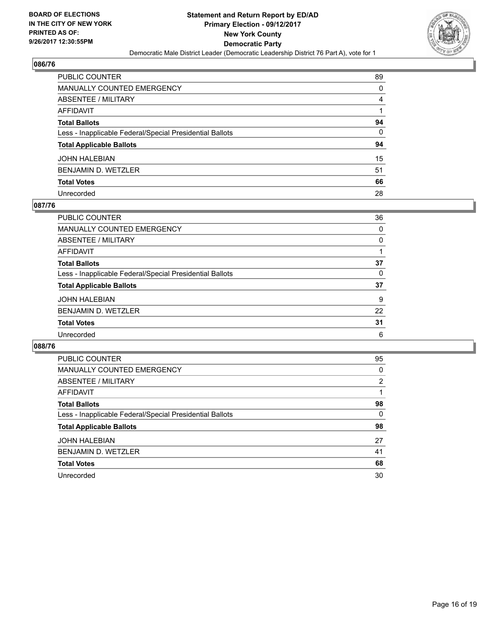

| PUBLIC COUNTER                                           | 89 |
|----------------------------------------------------------|----|
| MANUALLY COUNTED EMERGENCY                               | 0  |
| ABSENTEE / MILITARY                                      | 4  |
| AFFIDAVIT                                                |    |
| <b>Total Ballots</b>                                     | 94 |
| Less - Inapplicable Federal/Special Presidential Ballots | 0  |
| <b>Total Applicable Ballots</b>                          | 94 |
| JOHN HALEBIAN                                            | 15 |
| BENJAMIN D. WETZLER                                      | 51 |
| <b>Total Votes</b>                                       | 66 |
| Unrecorded                                               | 28 |

#### **087/76**

| <b>PUBLIC COUNTER</b>                                    | 36 |
|----------------------------------------------------------|----|
| <b>MANUALLY COUNTED EMERGENCY</b>                        | 0  |
| ABSENTEE / MILITARY                                      | 0  |
| AFFIDAVIT                                                |    |
| <b>Total Ballots</b>                                     | 37 |
| Less - Inapplicable Federal/Special Presidential Ballots | 0  |
| <b>Total Applicable Ballots</b>                          | 37 |
| <b>JOHN HALEBIAN</b>                                     | 9  |
| <b>BENJAMIN D. WETZLER</b>                               | 22 |
| <b>Total Votes</b>                                       | 31 |
| Unrecorded                                               | 6  |

| <b>PUBLIC COUNTER</b>                                    | 95 |
|----------------------------------------------------------|----|
| <b>MANUALLY COUNTED EMERGENCY</b>                        | 0  |
| <b>ABSENTEE / MILITARY</b>                               | 2  |
| <b>AFFIDAVIT</b>                                         |    |
| <b>Total Ballots</b>                                     | 98 |
| Less - Inapplicable Federal/Special Presidential Ballots | 0  |
| <b>Total Applicable Ballots</b>                          | 98 |
| <b>JOHN HALEBIAN</b>                                     | 27 |
| <b>BENJAMIN D. WETZLER</b>                               | 41 |
| <b>Total Votes</b>                                       | 68 |
| Unrecorded                                               | 30 |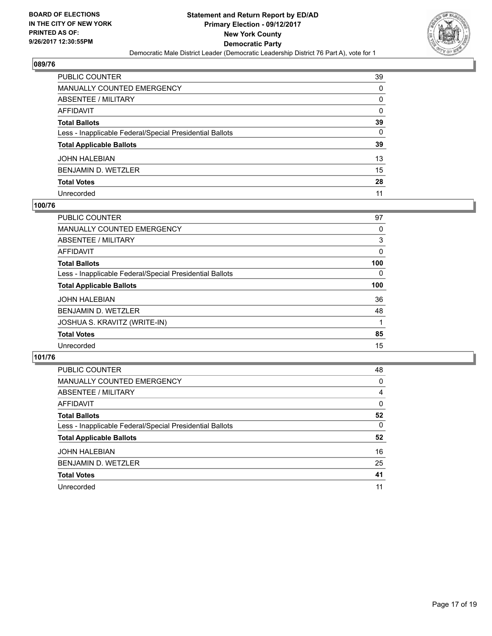

| <b>PUBLIC COUNTER</b>                                    | 39 |
|----------------------------------------------------------|----|
| <b>MANUALLY COUNTED EMERGENCY</b>                        | 0  |
| ABSENTEE / MILITARY                                      | 0  |
| <b>AFFIDAVIT</b>                                         | 0  |
| <b>Total Ballots</b>                                     | 39 |
| Less - Inapplicable Federal/Special Presidential Ballots | 0  |
| <b>Total Applicable Ballots</b>                          | 39 |
| <b>JOHN HALEBIAN</b>                                     | 13 |
| <b>BENJAMIN D. WETZLER</b>                               | 15 |
| <b>Total Votes</b>                                       | 28 |
| Unrecorded                                               | 11 |

#### **100/76**

| <b>PUBLIC COUNTER</b>                                    | 97  |
|----------------------------------------------------------|-----|
| <b>MANUALLY COUNTED EMERGENCY</b>                        | 0   |
| ABSENTEE / MILITARY                                      | 3   |
| AFFIDAVIT                                                | 0   |
| <b>Total Ballots</b>                                     | 100 |
| Less - Inapplicable Federal/Special Presidential Ballots | 0   |
| <b>Total Applicable Ballots</b>                          | 100 |
| <b>JOHN HALEBIAN</b>                                     | 36  |
| <b>BENJAMIN D. WETZLER</b>                               | 48  |
| JOSHUA S. KRAVITZ (WRITE-IN)                             |     |
| <b>Total Votes</b>                                       | 85  |
|                                                          |     |

| <b>PUBLIC COUNTER</b>                                    | 48 |
|----------------------------------------------------------|----|
| <b>MANUALLY COUNTED EMERGENCY</b>                        | 0  |
| ABSENTEE / MILITARY                                      | 4  |
| AFFIDAVIT                                                | 0  |
| <b>Total Ballots</b>                                     | 52 |
| Less - Inapplicable Federal/Special Presidential Ballots | 0  |
| <b>Total Applicable Ballots</b>                          | 52 |
| <b>JOHN HALEBIAN</b>                                     | 16 |
| BENJAMIN D. WETZLER                                      | 25 |
| <b>Total Votes</b>                                       | 41 |
| Unrecorded                                               | 11 |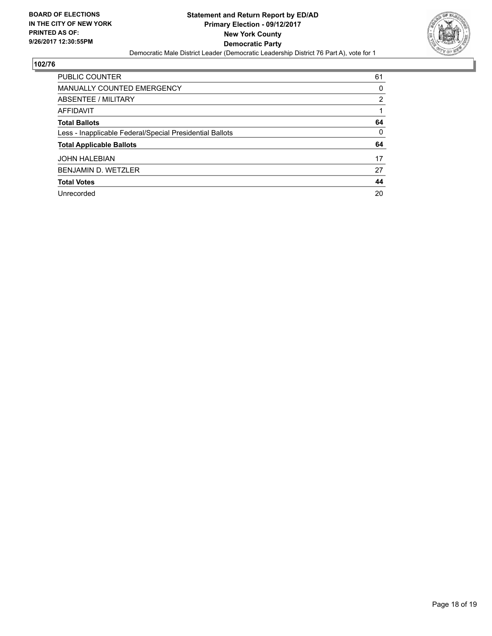

| <b>PUBLIC COUNTER</b>                                    | 61             |
|----------------------------------------------------------|----------------|
| <b>MANUALLY COUNTED EMERGENCY</b>                        | 0              |
| ABSENTEE / MILITARY                                      | $\overline{2}$ |
| AFFIDAVIT                                                |                |
| <b>Total Ballots</b>                                     | 64             |
| Less - Inapplicable Federal/Special Presidential Ballots | 0              |
| <b>Total Applicable Ballots</b>                          | 64             |
| <b>JOHN HALEBIAN</b>                                     | 17             |
| <b>BENJAMIN D. WETZLER</b>                               | 27             |
| <b>Total Votes</b>                                       | 44             |
| Unrecorded                                               | 20             |